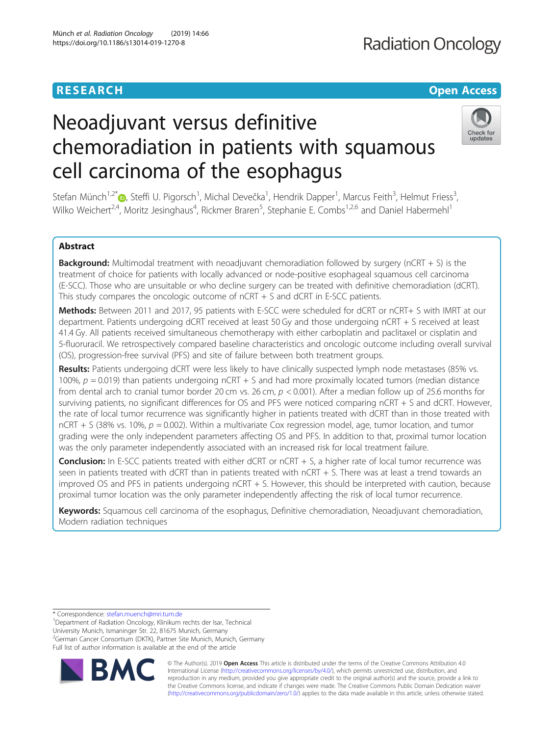# **RESEARCH CHE Open Access**

# Neoadjuvant versus definitive chemoradiation in patients with squamous cell carcinoma of the esophagus



Stefan Münch<sup>1[,](http://orcid.org/0000-0002-1745-4127)2\*</sup>®, Steffi U. Pigorsch<sup>1</sup>, Michal Devečka<sup>1</sup>, Hendrik Dapper<sup>1</sup>, Marcus Feith<sup>3</sup>, Helmut Friess<sup>3</sup> , Wilko Weichert<sup>2,4</sup>, Moritz Jesinghaus<sup>4</sup>, Rickmer Braren<sup>5</sup>, Stephanie E. Combs<sup>1,2,6</sup> and Daniel Habermehl<sup>1</sup>

# Abstract

**Background:** Multimodal treatment with neoadjuvant chemoradiation followed by surgery (nCRT + S) is the treatment of choice for patients with locally advanced or node-positive esophageal squamous cell carcinoma (E-SCC). Those who are unsuitable or who decline surgery can be treated with definitive chemoradiation (dCRT). This study compares the oncologic outcome of nCRT + S and dCRT in E-SCC patients.

Methods: Between 2011 and 2017, 95 patients with E-SCC were scheduled for dCRT or nCRT+ S with IMRT at our department. Patients undergoing dCRT received at least 50 Gy and those undergoing nCRT + S received at least 41.4 Gy. All patients received simultaneous chemotherapy with either carboplatin and paclitaxel or cisplatin and 5-fluoruracil. We retrospectively compared baseline characteristics and oncologic outcome including overall survival (OS), progression-free survival (PFS) and site of failure between both treatment groups.

Results: Patients undergoing dCRT were less likely to have clinically suspected lymph node metastases (85% vs. 100%,  $p = 0.019$ ) than patients undergoing nCRT + S and had more proximally located tumors (median distance from dental arch to cranial tumor border 20 cm vs. 26 cm, p < 0.001). After a median follow up of 25.6 months for surviving patients, no significant differences for OS and PFS were noticed comparing nCRT + S and dCRT. However, the rate of local tumor recurrence was significantly higher in patients treated with dCRT than in those treated with  $nCRT + S$  (38% vs. 10%,  $p = 0.002$ ). Within a multivariate Cox regression model, age, tumor location, and tumor grading were the only independent parameters affecting OS and PFS. In addition to that, proximal tumor location was the only parameter independently associated with an increased risk for local treatment failure.

**Conclusion:** In E-SCC patients treated with either dCRT or  $nCRT + S$ , a higher rate of local tumor recurrence was seen in patients treated with dCRT than in patients treated with nCRT + S. There was at least a trend towards an improved OS and PFS in patients undergoing nCRT + S. However, this should be interpreted with caution, because proximal tumor location was the only parameter independently affecting the risk of local tumor recurrence.

Keywords: Squamous cell carcinoma of the esophagus, Definitive chemoradiation, Neoadjuvant chemoradiation, Modern radiation techniques

\* Correspondence: [stefan.muench@mri.tum.de](mailto:stefan.muench@mri.tum.de) <sup>1</sup>

<sup>1</sup>Department of Radiation Oncology, Klinikum rechts der Isar, Technical University Munich, Ismaninger Str. 22, 81675 Munich, Germany <sup>2</sup>German Cancer Consortium (DKTK), Partner Site Munich, Munich, Germany Full list of author information is available at the end of the article



© The Author(s). 2019 **Open Access** This article is distributed under the terms of the Creative Commons Attribution 4.0 International License [\(http://creativecommons.org/licenses/by/4.0/](http://creativecommons.org/licenses/by/4.0/)), which permits unrestricted use, distribution, and reproduction in any medium, provided you give appropriate credit to the original author(s) and the source, provide a link to the Creative Commons license, and indicate if changes were made. The Creative Commons Public Domain Dedication waiver [\(http://creativecommons.org/publicdomain/zero/1.0/](http://creativecommons.org/publicdomain/zero/1.0/)) applies to the data made available in this article, unless otherwise stated.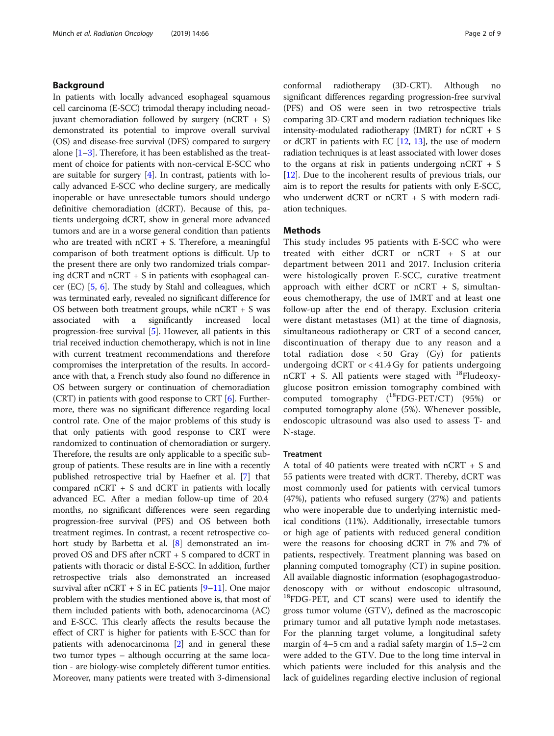### Background

In patients with locally advanced esophageal squamous cell carcinoma (E-SCC) trimodal therapy including neoadjuvant chemoradiation followed by surgery  $(nCRT + S)$ demonstrated its potential to improve overall survival (OS) and disease-free survival (DFS) compared to surgery alone  $[1-3]$  $[1-3]$  $[1-3]$  $[1-3]$  $[1-3]$ . Therefore, it has been established as the treatment of choice for patients with non-cervical E-SCC who are suitable for surgery [\[4](#page-7-0)]. In contrast, patients with locally advanced E-SCC who decline surgery, are medically inoperable or have unresectable tumors should undergo definitive chemoradiation (dCRT). Because of this, patients undergoing dCRT, show in general more advanced tumors and are in a worse general condition than patients who are treated with  $nCRT + S$ . Therefore, a meaningful comparison of both treatment options is difficult. Up to the present there are only two randomized trials comparing dCRT and  $nCRT + S$  in patients with esophageal cancer (EC) [\[5](#page-7-0), [6](#page-7-0)]. The study by Stahl and colleagues, which was terminated early, revealed no significant difference for OS between both treatment groups, while nCRT + S was associated with a significantly increased local progression-free survival [[5](#page-7-0)]. However, all patients in this trial received induction chemotherapy, which is not in line with current treatment recommendations and therefore compromises the interpretation of the results. In accordance with that, a French study also found no difference in OS between surgery or continuation of chemoradiation (CRT) in patients with good response to CRT [[6](#page-7-0)]. Furthermore, there was no significant difference regarding local control rate. One of the major problems of this study is that only patients with good response to CRT were randomized to continuation of chemoradiation or surgery. Therefore, the results are only applicable to a specific subgroup of patients. These results are in line with a recently published retrospective trial by Haefner et al. [\[7](#page-8-0)] that compared  $nCRT + S$  and dCRT in patients with locally advanced EC. After a median follow-up time of 20.4 months, no significant differences were seen regarding progression-free survival (PFS) and OS between both treatment regimes. In contrast, a recent retrospective cohort study by Barbetta et al. [\[8](#page-8-0)] demonstrated an improved OS and DFS after nCRT + S compared to dCRT in patients with thoracic or distal E-SCC. In addition, further retrospective trials also demonstrated an increased survival after  $nCRT + S$  in EC patients  $[9-11]$  $[9-11]$  $[9-11]$ . One major problem with the studies mentioned above is, that most of them included patients with both, adenocarcinoma (AC) and E-SCC. This clearly affects the results because the effect of CRT is higher for patients with E-SCC than for patients with adenocarcinoma [\[2\]](#page-7-0) and in general these two tumor types – although occurring at the same location - are biology-wise completely different tumor entities. Moreover, many patients were treated with 3-dimensional

conformal radiotherapy (3D-CRT). Although no significant differences regarding progression-free survival (PFS) and OS were seen in two retrospective trials comparing 3D-CRT and modern radiation techniques like intensity-modulated radiotherapy (IMRT) for nCRT + S or dCRT in patients with EC [[12](#page-8-0), [13\]](#page-8-0), the use of modern radiation techniques is at least associated with lower doses to the organs at risk in patients undergoing nCRT + S [[12](#page-8-0)]. Due to the incoherent results of previous trials, our aim is to report the results for patients with only E-SCC, who underwent dCRT or nCRT + S with modern radiation techniques.

#### Methods

This study includes 95 patients with E-SCC who were treated with either dCRT or nCRT + S at our department between 2011 and 2017. Inclusion criteria were histologically proven E-SCC, curative treatment approach with either dCRT or  $nCRT + S$ , simultaneous chemotherapy, the use of IMRT and at least one follow-up after the end of therapy. Exclusion criteria were distant metastases (M1) at the time of diagnosis, simultaneous radiotherapy or CRT of a second cancer, discontinuation of therapy due to any reason and a total radiation dose < 50 Gray (Gy) for patients undergoing  $dCRT$  or  $<$  41.4 Gy for patients undergoing  $nCRT$  + S. All patients were staged with <sup>18</sup>Fludeoxyglucose positron emission tomography combined with computed tomography  $(^{18}$ FDG-PET/CT) (95%) or computed tomography alone (5%). Whenever possible, endoscopic ultrasound was also used to assess T- and N-stage.

#### **Treatment**

A total of 40 patients were treated with nCRT + S and 55 patients were treated with dCRT. Thereby, dCRT was most commonly used for patients with cervical tumors (47%), patients who refused surgery (27%) and patients who were inoperable due to underlying internistic medical conditions (11%). Additionally, irresectable tumors or high age of patients with reduced general condition were the reasons for choosing dCRT in 7% and 7% of patients, respectively. Treatment planning was based on planning computed tomography (CT) in supine position. All available diagnostic information (esophagogastroduodenoscopy with or without endoscopic ultrasound, <sup>18</sup>FDG-PET, and CT scans) were used to identify the gross tumor volume (GTV), defined as the macroscopic primary tumor and all putative lymph node metastases. For the planning target volume, a longitudinal safety margin of 4–5 cm and a radial safety margin of 1.5–2 cm were added to the GTV. Due to the long time interval in which patients were included for this analysis and the lack of guidelines regarding elective inclusion of regional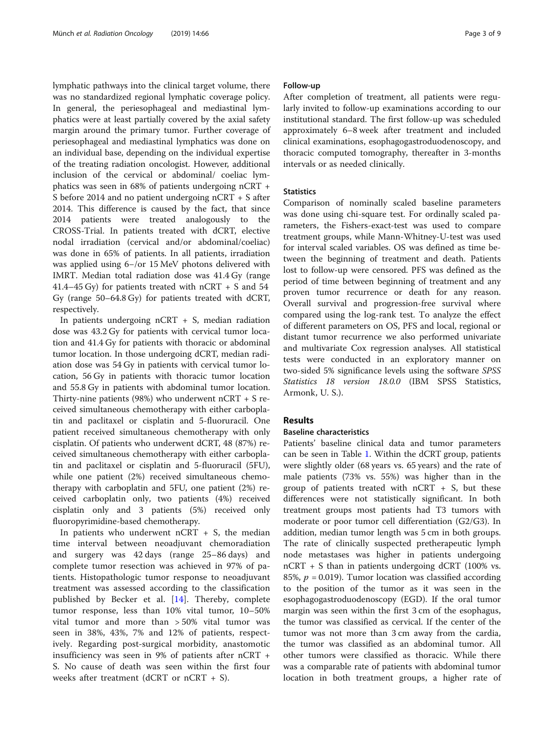lymphatic pathways into the clinical target volume, there was no standardized regional lymphatic coverage policy. In general, the periesophageal and mediastinal lymphatics were at least partially covered by the axial safety margin around the primary tumor. Further coverage of periesophageal and mediastinal lymphatics was done on an individual base, depending on the individual expertise of the treating radiation oncologist. However, additional inclusion of the cervical or abdominal/ coeliac lymphatics was seen in 68% of patients undergoing nCRT + S before 2014 and no patient undergoing nCRT + S after 2014. This difference is caused by the fact, that since 2014 patients were treated analogously to the CROSS-Trial. In patients treated with dCRT, elective nodal irradiation (cervical and/or abdominal/coeliac) was done in 65% of patients. In all patients, irradiation was applied using 6−/or 15 MeV photons delivered with IMRT. Median total radiation dose was 41.4 Gy (range 41.4–45 Gy) for patients treated with nCRT + S and 54 Gy (range 50–64.8 Gy) for patients treated with dCRT, respectively.

In patients undergoing nCRT + S, median radiation dose was 43.2 Gy for patients with cervical tumor location and 41.4 Gy for patients with thoracic or abdominal tumor location. In those undergoing dCRT, median radiation dose was 54 Gy in patients with cervical tumor location, 56 Gy in patients with thoracic tumor location and 55.8 Gy in patients with abdominal tumor location. Thirty-nine patients (98%) who underwent nCRT + S received simultaneous chemotherapy with either carboplatin and paclitaxel or cisplatin and 5-fluoruracil. One patient received simultaneous chemotherapy with only cisplatin. Of patients who underwent dCRT, 48 (87%) received simultaneous chemotherapy with either carboplatin and paclitaxel or cisplatin and 5-fluoruracil (5FU), while one patient (2%) received simultaneous chemotherapy with carboplatin and 5FU, one patient (2%) received carboplatin only, two patients (4%) received cisplatin only and 3 patients (5%) received only fluoropyrimidine-based chemotherapy.

In patients who underwent  $nCRT + S$ , the median time interval between neoadjuvant chemoradiation and surgery was 42 days (range 25–86 days) and complete tumor resection was achieved in 97% of patients. Histopathologic tumor response to neoadjuvant treatment was assessed according to the classification published by Becker et al. [\[14\]](#page-8-0). Thereby, complete tumor response, less than 10% vital tumor, 10–50% vital tumor and more than > 50% vital tumor was seen in 38%, 43%, 7% and 12% of patients, respectively. Regarding post-surgical morbidity, anastomotic insufficiency was seen in 9% of patients after nCRT + S. No cause of death was seen within the first four weeks after treatment (dCRT or nCRT + S).

#### Follow-up

After completion of treatment, all patients were regularly invited to follow-up examinations according to our institutional standard. The first follow-up was scheduled approximately 6–8 week after treatment and included clinical examinations, esophagogastroduodenoscopy, and thoracic computed tomography, thereafter in 3-months intervals or as needed clinically.

### **Statistics**

Comparison of nominally scaled baseline parameters was done using chi-square test. For ordinally scaled parameters, the Fishers-exact-test was used to compare treatment groups, while Mann-Whitney-U-test was used for interval scaled variables. OS was defined as time between the beginning of treatment and death. Patients lost to follow-up were censored. PFS was defined as the period of time between beginning of treatment and any proven tumor recurrence or death for any reason. Overall survival and progression-free survival where compared using the log-rank test. To analyze the effect of different parameters on OS, PFS and local, regional or distant tumor recurrence we also performed univariate and multivariate Cox regression analyses. All statistical tests were conducted in an exploratory manner on two-sided 5% significance levels using the software SPSS Statistics 18 version 18.0.0 (IBM SPSS Statistics, Armonk, U. S.).

# Results

# Baseline characteristics

Patients' baseline clinical data and tumor parameters can be seen in Table [1](#page-3-0). Within the dCRT group, patients were slightly older (68 years vs. 65 years) and the rate of male patients (73% vs. 55%) was higher than in the group of patients treated with  $nCRT + S$ , but these differences were not statistically significant. In both treatment groups most patients had T3 tumors with moderate or poor tumor cell differentiation (G2/G3). In addition, median tumor length was 5 cm in both groups. The rate of clinically suspected pretherapeutic lymph node metastases was higher in patients undergoing nCRT + S than in patients undergoing dCRT (100% vs. 85%,  $p = 0.019$ ). Tumor location was classified according to the position of the tumor as it was seen in the esophagogastroduodenoscopy (EGD). If the oral tumor margin was seen within the first 3 cm of the esophagus, the tumor was classified as cervical. If the center of the tumor was not more than 3 cm away from the cardia, the tumor was classified as an abdominal tumor. All other tumors were classified as thoracic. While there was a comparable rate of patients with abdominal tumor location in both treatment groups, a higher rate of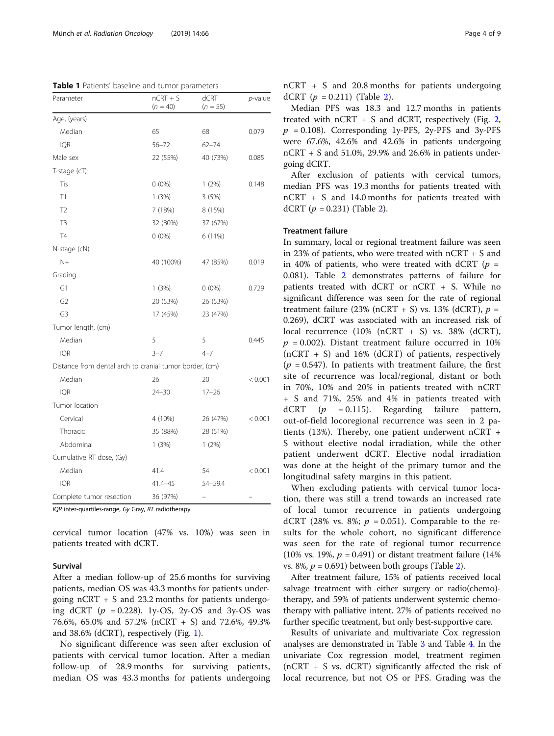<span id="page-3-0"></span>Table 1 Patients' baseline and tumor parameters

| Parameter                                               | $nCRT + S$<br>$(n = 40)$ | dCRT<br>$(n = 55)$ | p-value |
|---------------------------------------------------------|--------------------------|--------------------|---------|
| Age, (years)                                            |                          |                    |         |
| Median                                                  | 65                       | 68                 | 0.079   |
| <b>IQR</b>                                              | $56 - 72$                | $62 - 74$          |         |
| Male sex                                                | 22 (55%)                 | 40 (73%)           | 0.085   |
| T-stage (cT)                                            |                          |                    |         |
| Tis                                                     | $0(0\%)$                 | 1(2%)              | 0.148   |
| T1                                                      | 1(3%)                    | 3(5%)              |         |
| T <sub>2</sub>                                          | 7 (18%)                  | 8 (15%)            |         |
| T <sub>3</sub>                                          | 32 (80%)                 | 37 (67%)           |         |
| <b>T4</b>                                               | $0(0\%)$                 | 6 (11%)            |         |
| N-stage (cN)                                            |                          |                    |         |
| $N+$                                                    | 40 (100%)                | 47 (85%)           | 0.019   |
| Grading                                                 |                          |                    |         |
| G1                                                      | 1(3%)                    | $0(0\%)$           | 0.729   |
| G <sub>2</sub>                                          | 20 (53%)                 | 26 (53%)           |         |
| G3                                                      | 17 (45%)                 | 23 (47%)           |         |
| Tumor length, (cm)                                      |                          |                    |         |
| Median                                                  | 5                        | 5                  | 0.445   |
| <b>IQR</b>                                              | $3 - 7$                  | $4 - 7$            |         |
| Distance from dental arch to cranial tumor border, (cm) |                          |                    |         |
| Median                                                  | 26                       | 20                 | < 0.001 |
| <b>IQR</b>                                              | $24 - 30$                | $17 - 26$          |         |
| Tumor location                                          |                          |                    |         |
| Cervical                                                | 4 (10%)                  | 26 (47%)           | < 0.001 |
| Thoracic                                                | 35 (88%)                 | 28 (51%)           |         |
| Abdominal                                               | 1(3%)                    | 1(2%)              |         |
| Cumulative RT dose, (Gy)                                |                          |                    |         |
| Median                                                  | 41.4                     | 54                 | < 0.001 |
| <b>IOR</b>                                              | 41.4-45                  | 54-59.4            |         |
| Complete tumor resection                                | 36 (97%)                 |                    |         |

IQR inter-quartiles-range, Gy Gray, RT radiotherapy

cervical tumor location (47% vs. 10%) was seen in patients treated with dCRT.

#### Survival

After a median follow-up of 25.6 months for surviving patients, median OS was 43.3 months for patients undergoing  $nCRT + S$  and 23.2 months for patients undergoing dCRT  $(p = 0.228)$ . 1y-OS, 2y-OS and 3y-OS was 76.6%, 65.0% and 57.2% (nCRT + S) and 72.6%, 49.3% and 38.6% (dCRT), respectively (Fig. [1](#page-4-0)).

No significant difference was seen after exclusion of patients with cervical tumor location. After a median follow-up of 28.9 months for surviving patients, median OS was 43.3 months for patients undergoing nCRT + S and 20.8 months for patients undergoing dCRT  $(p = 0.211)$  (Table [2\)](#page-4-0).

Median PFS was 18.3 and 12.7 months in patients treated with  $nCRT + S$  and dCRT, respectively (Fig. [2](#page-5-0),  $p = 0.108$ ). Corresponding 1y-PFS, 2y-PFS and 3y-PFS were 67.6%, 42.6% and 42.6% in patients undergoing nCRT + S and 51.0%, 29.9% and 26.6% in patients undergoing dCRT.

After exclusion of patients with cervical tumors, median PFS was 19.3 months for patients treated with nCRT + S and 14.0 months for patients treated with dCRT  $(p = 0.231)$  (Table [2\)](#page-4-0).

#### Treatment failure

In summary, local or regional treatment failure was seen in 23% of patients, who were treated with nCRT + S and in 40% of patients, who were treated with dCRT ( $p =$ 0.081). Table [2](#page-4-0) demonstrates patterns of failure for patients treated with dCRT or nCRT + S. While no significant difference was seen for the rate of regional treatment failure (23% (nCRT + S) vs. 13% (dCRT),  $p =$ 0.269), dCRT was associated with an increased risk of local recurrence (10% (nCRT + S) vs. 38% (dCRT),  $p = 0.002$ ). Distant treatment failure occurred in 10%  $(nCRT + S)$  and 16% (dCRT) of patients, respectively  $(p = 0.547)$ . In patients with treatment failure, the first site of recurrence was local/regional, distant or both in 70%, 10% and 20% in patients treated with nCRT + S and 71%, 25% and 4% in patients treated with dCRT  $(p = 0.115)$ . Regarding failure pattern, out-of-field locoregional recurrence was seen in 2 patients (13%). Thereby, one patient underwent nCRT + S without elective nodal irradiation, while the other patient underwent dCRT. Elective nodal irradiation was done at the height of the primary tumor and the longitudinal safety margins in this patient.

When excluding patients with cervical tumor location, there was still a trend towards an increased rate of local tumor recurrence in patients undergoing dCRT (28% vs. 8%;  $p = 0.051$ ). Comparable to the results for the whole cohort, no significant difference was seen for the rate of regional tumor recurrence (10% vs. 19%,  $p = 0.491$ ) or distant treatment failure (14%) vs. 8%,  $p = 0.691$ ) between both groups (Table [2](#page-4-0)).

After treatment failure, 15% of patients received local salvage treatment with either surgery or radio(chemo) therapy, and 59% of patients underwent systemic chemotherapy with palliative intent. 27% of patients received no further specific treatment, but only best-supportive care.

Results of univariate and multivariate Cox regression analyses are demonstrated in Table [3](#page-5-0) and Table [4.](#page-6-0) In the univariate Cox regression model, treatment regimen (nCRT + S vs. dCRT) significantly affected the risk of local recurrence, but not OS or PFS. Grading was the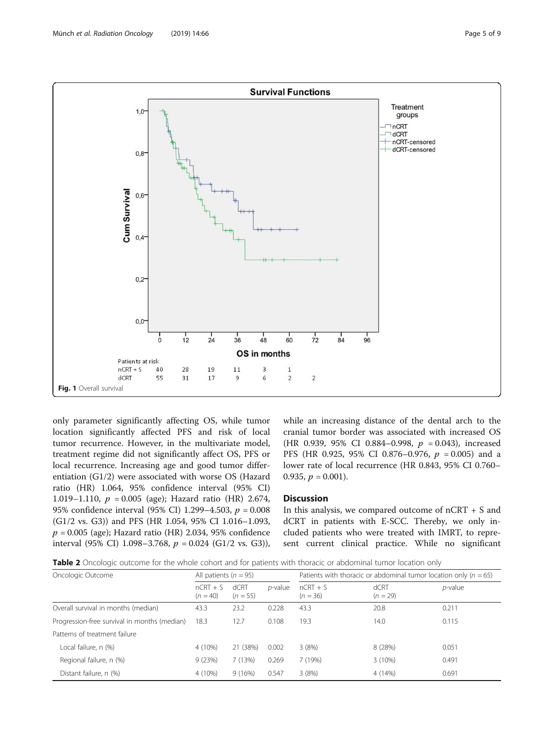<span id="page-4-0"></span>

only parameter significantly affecting OS, while tumor location significantly affected PFS and risk of local tumor recurrence. However, in the multivariate model, treatment regime did not significantly affect OS, PFS or local recurrence. Increasing age and good tumor differentiation (G1/2) were associated with worse OS (Hazard ratio (HR) 1.064, 95% confidence interval (95% CI) 1.019–1.110,  $p = 0.005$  (age); Hazard ratio (HR) 2.674, 95% confidence interval (95% CI) 1.299–4.503,  $p = 0.008$ (G1/2 vs. G3)) and PFS (HR 1.054, 95% CI 1.016–1.093,  $p = 0.005$  (age); Hazard ratio (HR) 2.034, 95% confidence interval (95% CI) 1.098–3.768,  $p = 0.024$  (G1/2 vs. G3)), while an increasing distance of the dental arch to the cranial tumor border was associated with increased OS (HR 0.939, 95% CI 0.884-0.998,  $p = 0.043$ ), increased PFS (HR 0.925, 95% CI 0.876-0.976,  $p = 0.005$ ) and a lower rate of local recurrence (HR 0.843, 95% CI 0.760– 0.935,  $p = 0.001$ ).

## Discussion

In this analysis, we compared outcome of  $nCRT + S$  and dCRT in patients with E-SCC. Thereby, we only included patients who were treated with IMRT, to represent current clinical practice. While no significant

Table 2 Oncologic outcome for the whole cohort and for patients with thoracic or abdominal tumor location only

| Oncologic Outcome                            | All patients ( $n = 95$ ) |                    | Patients with thoracic or abdominal tumor location only ( $n = 65$ ) |                          |                    |            |
|----------------------------------------------|---------------------------|--------------------|----------------------------------------------------------------------|--------------------------|--------------------|------------|
|                                              | $nCRT + S$<br>$(n = 40)$  | dCRT<br>$(n = 55)$ | <i>p</i> -value                                                      | $nCRT + S$<br>$(n = 36)$ | dCRT<br>$(n = 29)$ | $p$ -value |
| Overall survival in months (median)          | 43.3                      | 23.2               | 0.228                                                                | 43.3                     | 20.8               | 0.211      |
| Progression-free survival in months (median) | 18.3                      | 12.7               | 0.108                                                                | 19.3                     | 14.0               | 0.115      |
| Patterns of treatment failure                |                           |                    |                                                                      |                          |                    |            |
| Local failure, n (%)                         | 4 (10%)                   | 21 (38%)           | 0.002                                                                | 3(8%)                    | 8 (28%)            | 0.051      |
| Regional failure, n (%)                      | 9(23%)                    | 7(13%)             | 0.269                                                                | 7 (19%)                  | $3(10\%)$          | 0.491      |
| Distant failure, n (%)                       | 4 (10%)                   | 9(16%)             | 0.547                                                                | 3(8%)                    | 4 (14%)            | 0.691      |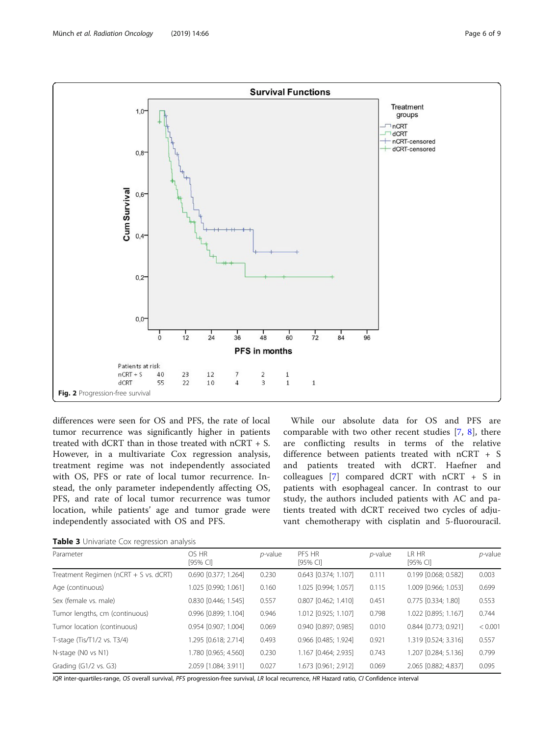<span id="page-5-0"></span>

differences were seen for OS and PFS, the rate of local tumor recurrence was significantly higher in patients treated with dCRT than in those treated with nCRT + S. However, in a multivariate Cox regression analysis, treatment regime was not independently associated with OS, PFS or rate of local tumor recurrence. Instead, the only parameter independently affecting OS, PFS, and rate of local tumor recurrence was tumor location, while patients' age and tumor grade were independently associated with OS and PFS.

While our absolute data for OS and PFS are comparable with two other recent studies [\[7](#page-8-0), [8\]](#page-8-0), there are conflicting results in terms of the relative difference between patients treated with nCRT + S and patients treated with dCRT. Haefner and colleagues [[7\]](#page-8-0) compared dCRT with nCRT + S in patients with esophageal cancer. In contrast to our study, the authors included patients with AC and patients treated with dCRT received two cycles of adjuvant chemotherapy with cisplatin and 5-fluorouracil.

| Table 3 Univariate Cox regression analysis |  |  |  |  |
|--------------------------------------------|--|--|--|--|
|--------------------------------------------|--|--|--|--|

| Parameter                             | OS HR<br>[95% CI]    | $p$ -value | PFS HR<br>[95% CI]     | $p$ -value | LR HR<br>[95% CI]    | $p$ -value |
|---------------------------------------|----------------------|------------|------------------------|------------|----------------------|------------|
| Treatment Regimen (nCRT + S vs. dCRT) | 0.690 [0.377; 1.264] | 0.230      | 0.643 [0.374; 1.107]   | 0.111      | 0.199 [0.068; 0.582] | 0.003      |
| Age (continuous)                      | 1.025 [0.990; 1.061] | 0.160      | 1.025 [0.994; 1.057]   | 0.115      | 1.009 [0.966; 1.053] | 0.699      |
| Sex (female vs. male)                 | 0.830 [0.446; 1.545] | 0.557      | $0.807$ [0.462; 1.410] | 0.451      | 0.775 [0.334; 1.80]  | 0.553      |
| Tumor lengths, cm (continuous)        | 0.996 [0.899; 1.104] | 0.946      | 1.012 [0.925; 1.107]   | 0.798      | 1.022 [0.895; 1.167] | 0.744      |
| Tumor location (continuous)           | 0.954 [0.907; 1.004] | 0.069      | 0.940 [0.897; 0.985]   | 0.010      | 0.844 [0.773; 0.921] | < 0.001    |
| T-stage (Tis/T1/2 vs. T3/4)           | 1.295 [0.618; 2.714] | 0.493      | 0.966 [0.485; 1.924]   | 0.921      | 1.319 [0.524; 3.316] | 0.557      |
| N-stage (NO vs N1)                    | 1.780 [0.965; 4.560] | 0.230      | 1.167 [0.464; 2.935]   | 0.743      | 1.207 [0.284; 5.136] | 0.799      |
| Grading (G1/2 vs. G3)                 | 2.059 [1.084; 3.911] | 0.027      | 1.673 [0.961: 2.912]   | 0.069      | 2.065 [0.882; 4.837] | 0.095      |

IQR inter-quartiles-range, OS overall survival, PFS progression-free survival, LR local recurrence, HR Hazard ratio, CI Confidence interval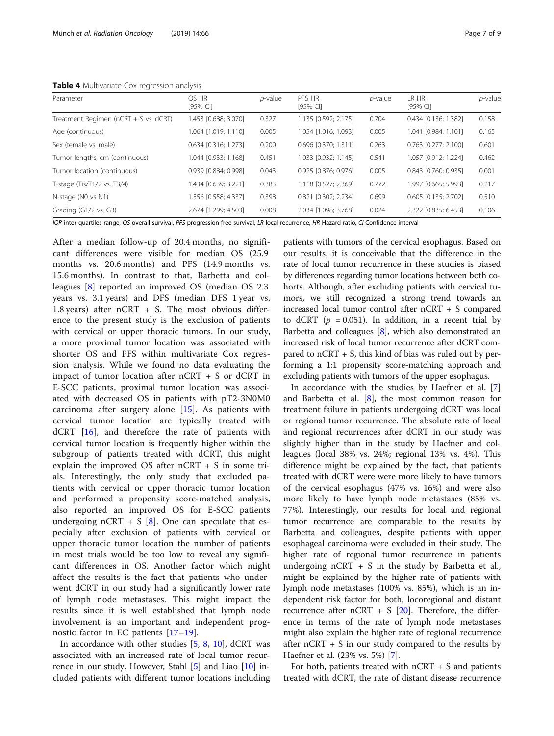<span id="page-6-0"></span>Table 4 Multivariate Cox regression analysis

| Parameter                                | OS HR<br>[95% CI]      | $p$ -value | PFS HR<br>$[95%$ CI  | $p$ -value | LR HR<br>[95% CI]      | $p$ -value |
|------------------------------------------|------------------------|------------|----------------------|------------|------------------------|------------|
| Treatment Regimen ( $nCRT + S$ vs. dCRT) | 1.453 [0.688; 3.070]   | 0.327      | 1.135 [0.592; 2.175] | 0.704      | 0.434 [0.136; 1.382]   | 0.158      |
| Age (continuous)                         | 1.064 [1.019; 1.110]   | 0.005      | 1.054 [1.016; 1.093] | 0.005      | 1.041 [0.984; 1.101]   | 0.165      |
| Sex (female vs. male)                    | $0.634$ [0.316; 1.273] | 0.200      | 0.696 [0.370; 1.311] | 0.263      | $0.763$ [0.277; 2.100] | 0.601      |
| Tumor lengths, cm (continuous)           | 1.044 [0.933; 1.168]   | 0.451      | 1.033 [0.932; 1.145] | 0.541      | 1.057 [0.912; 1.224]   | 0.462      |
| Tumor location (continuous)              | 0.939 [0.884; 0.998]   | 0.043      | 0.925 [0.876; 0.976] | 0.005      | $0.843$ [0.760; 0.935] | 0.001      |
| T-stage (Tis/T1/2 vs. T3/4)              | 1.434 [0.639; 3.221]   | 0.383      | 1.118 [0.527; 2.369] | 0.772      | 1.997 [0.665; 5.993]   | 0.217      |
| N-stage (NO vs N1)                       | 1.556 [0.558; 4.337]   | 0.398      | 0.821 [0.302; 2.234] | 0.699      | 0.605 [0.135; 2.702]   | 0.510      |
| Grading (G1/2 vs. G3)                    | 2.674 [1.299; 4.503]   | 0.008      | 2.034 [1.098; 3.768] | 0.024      | 2.322 [0.835; 6.453]   | 0.106      |

IQR inter-quartiles-range, OS overall survival, PFS progression-free survival, LR local recurrence, HR Hazard ratio, CI Confidence interval

After a median follow-up of 20.4 months, no significant differences were visible for median OS (25.9 months vs. 20.6 months) and PFS (14.9 months vs. 15.6 months). In contrast to that, Barbetta and colleagues [\[8](#page-8-0)] reported an improved OS (median OS 2.3 years vs. 3.1 years) and DFS (median DFS 1 year vs. 1.8 years) after nCRT + S. The most obvious difference to the present study is the exclusion of patients with cervical or upper thoracic tumors. In our study, a more proximal tumor location was associated with shorter OS and PFS within multivariate Cox regression analysis. While we found no data evaluating the impact of tumor location after nCRT + S or dCRT in E-SCC patients, proximal tumor location was associated with decreased OS in patients with pT2-3N0M0 carcinoma after surgery alone [[15\]](#page-8-0). As patients with cervical tumor location are typically treated with dCRT [[16\]](#page-8-0), and therefore the rate of patients with cervical tumor location is frequently higher within the subgroup of patients treated with dCRT, this might explain the improved OS after nCRT + S in some trials. Interestingly, the only study that excluded patients with cervical or upper thoracic tumor location and performed a propensity score-matched analysis, also reported an improved OS for E-SCC patients undergoing nCRT + S  $[8]$  $[8]$ . One can speculate that especially after exclusion of patients with cervical or upper thoracic tumor location the number of patients in most trials would be too low to reveal any significant differences in OS. Another factor which might affect the results is the fact that patients who underwent dCRT in our study had a significantly lower rate of lymph node metastases. This might impact the results since it is well established that lymph node involvement is an important and independent prognostic factor in EC patients [\[17](#page-8-0)–[19](#page-8-0)].

In accordance with other studies  $[5, 8, 10]$  $[5, 8, 10]$  $[5, 8, 10]$  $[5, 8, 10]$  $[5, 8, 10]$  $[5, 8, 10]$ , dCRT was associated with an increased rate of local tumor recurrence in our study. However, Stahl [[5\]](#page-7-0) and Liao [\[10](#page-8-0)] included patients with different tumor locations including

patients with tumors of the cervical esophagus. Based on our results, it is conceivable that the difference in the rate of local tumor recurrence in these studies is biased by differences regarding tumor locations between both cohorts. Although, after excluding patients with cervical tumors, we still recognized a strong trend towards an increased local tumor control after nCRT + S compared to dCRT ( $p = 0.051$ ). In addition, in a recent trial by Barbetta and colleagues [[8](#page-8-0)], which also demonstrated an increased risk of local tumor recurrence after dCRT compared to nCRT + S, this kind of bias was ruled out by performing a 1:1 propensity score-matching approach and excluding patients with tumors of the upper esophagus.

In accordance with the studies by Haefner et al. [\[7](#page-8-0)] and Barbetta et al. [\[8](#page-8-0)], the most common reason for treatment failure in patients undergoing dCRT was local or regional tumor recurrence. The absolute rate of local and regional recurrences after dCRT in our study was slightly higher than in the study by Haefner and colleagues (local 38% vs. 24%; regional 13% vs. 4%). This difference might be explained by the fact, that patients treated with dCRT were were more likely to have tumors of the cervical esophagus (47% vs. 16%) and were also more likely to have lymph node metastases (85% vs. 77%). Interestingly, our results for local and regional tumor recurrence are comparable to the results by Barbetta and colleagues, despite patients with upper esophageal carcinoma were excluded in their study. The higher rate of regional tumor recurrence in patients undergoing  $nCRT + S$  in the study by Barbetta et al., might be explained by the higher rate of patients with lymph node metastases (100% vs. 85%), which is an independent risk factor for both, locoregional and distant recurrence after nCRT  $+ S$  [\[20\]](#page-8-0). Therefore, the difference in terms of the rate of lymph node metastases might also explain the higher rate of regional recurrence after  $nCRT + S$  in our study compared to the results by Haefner et al. (23% vs. 5%) [\[7](#page-8-0)].

For both, patients treated with  $nCRT + S$  and patients treated with dCRT, the rate of distant disease recurrence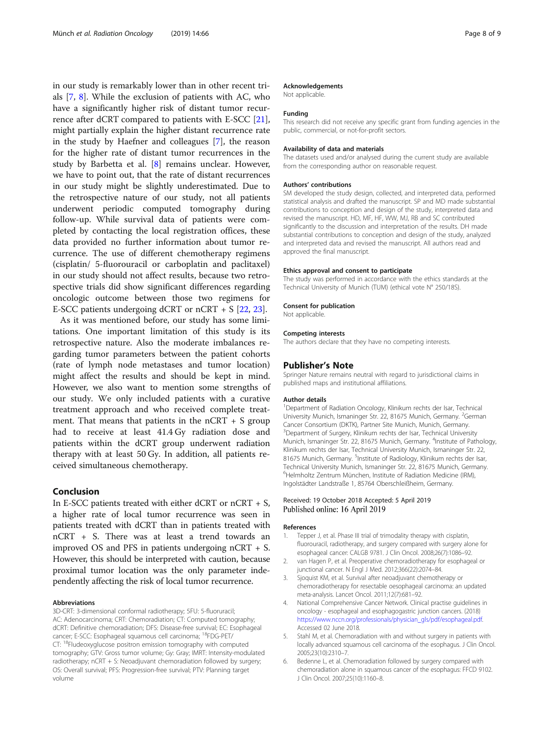<span id="page-7-0"></span>in our study is remarkably lower than in other recent trials [\[7](#page-8-0), [8\]](#page-8-0). While the exclusion of patients with AC, who have a significantly higher risk of distant tumor recurrence after dCRT compared to patients with E-SCC [\[21](#page-8-0)], might partially explain the higher distant recurrence rate in the study by Haefner and colleagues [[7\]](#page-8-0), the reason for the higher rate of distant tumor recurrences in the study by Barbetta et al. [[8\]](#page-8-0) remains unclear. However, we have to point out, that the rate of distant recurrences in our study might be slightly underestimated. Due to the retrospective nature of our study, not all patients underwent periodic computed tomography during follow-up. While survival data of patients were completed by contacting the local registration offices, these data provided no further information about tumor recurrence. The use of different chemotherapy regimens (cisplatin/ 5-fluorouracil or carboplatin and paclitaxel) in our study should not affect results, because two retrospective trials did show significant differences regarding oncologic outcome between those two regimens for E-SCC patients undergoing dCRT or nCRT + S [\[22](#page-8-0), [23](#page-8-0)].

As it was mentioned before, our study has some limitations. One important limitation of this study is its retrospective nature. Also the moderate imbalances regarding tumor parameters between the patient cohorts (rate of lymph node metastases and tumor location) might affect the results and should be kept in mind. However, we also want to mention some strengths of our study. We only included patients with a curative treatment approach and who received complete treatment. That means that patients in the  $nCRT + S$  group had to receive at least 41.4 Gy radiation dose and patients within the dCRT group underwent radiation therapy with at least 50 Gy. In addition, all patients received simultaneous chemotherapy.

#### Conclusion

In E-SCC patients treated with either dCRT or nCRT + S, a higher rate of local tumor recurrence was seen in patients treated with dCRT than in patients treated with nCRT + S. There was at least a trend towards an improved OS and PFS in patients undergoing nCRT + S. However, this should be interpreted with caution, because proximal tumor location was the only parameter independently affecting the risk of local tumor recurrence.

#### Abbreviations

3D-CRT: 3-dimensional conformal radiotherapy; 5FU: 5-fluoruracil; AC: Adenocarcinoma; CRT: Chemoradiation; CT: Computed tomography; dCRT: Definitive chemoradiation; DFS: Disease-free survival; EC: Esophageal cancer; E-SCC: Esophageal squamous cell carcinoma; 18FDG-PET/ CT: 18Fludeoxyglucose positron emission tomography with computed tomography; GTV: Gross tumor volume; Gy: Gray; IMRT: Intensity-modulated radiotherapy; nCRT + S: Neoadjuvant chemoradiation followed by surgery; OS: Overall survival; PFS: Progression-free survival; PTV: Planning target volume

#### Acknowledgements

Not applicable.

#### Funding

This research did not receive any specific grant from funding agencies in the public, commercial, or not-for-profit sectors.

#### Availability of data and materials

The datasets used and/or analysed during the current study are available from the corresponding author on reasonable request.

#### Authors' contributions

SM developed the study design, collected, and interpreted data, performed statistical analysis and drafted the manuscript. SP and MD made substantial contributions to conception and design of the study, interpreted data and revised the manuscript. HD, MF, HF, WW, MJ, RB and SC contributed significantly to the discussion and interpretation of the results. DH made substantial contributions to conception and design of the study, analyzed and interpreted data and revised the manuscript. All authors read and approved the final manuscript.

#### Ethics approval and consent to participate

The study was performed in accordance with the ethics standards at the Technical University of Munich (TUM) (ethical vote N° 250/18S).

#### Consent for publication

Not applicable.

#### Competing interests

The authors declare that they have no competing interests.

#### Publisher's Note

Springer Nature remains neutral with regard to jurisdictional claims in published maps and institutional affiliations.

#### Author details

<sup>1</sup>Department of Radiation Oncology, Klinikum rechts der Isar, Technical University Munich, Ismaninger Str. 22, 81675 Munich, Germany. <sup>2</sup>German Cancer Consortium (DKTK), Partner Site Munich, Munich, Germany. <sup>3</sup>Department of Surgery, Klinikum rechts der Isar, Technical University Munich, Ismaninger Str. 22, 81675 Munich, Germany. <sup>4</sup>Institute of Pathology Klinikum rechts der Isar, Technical University Munich, Ismaninger Str. 22, 81675 Munich, Germany. <sup>5</sup>Institute of Radiology, Klinikum rechts der Isar, Technical University Munich, Ismaninger Str. 22, 81675 Munich, Germany. 6 Helmholtz Zentrum München, Institute of Radiation Medicine (IRM), Ingolstädter Landstraße 1, 85764 Oberschleißheim, Germany.

#### Received: 19 October 2018 Accepted: 5 April 2019 Published online: 16 April 2019

#### References

- 1. Tepper J, et al. Phase III trial of trimodality therapy with cisplatin, fluorouracil, radiotherapy, and surgery compared with surgery alone for esophageal cancer: CALGB 9781. J Clin Oncol. 2008;26(7):1086–92.
- 2. van Hagen P, et al. Preoperative chemoradiotherapy for esophageal or junctional cancer. N Engl J Med. 2012;366(22):2074–84.
- 3. Sjoquist KM, et al. Survival after neoadjuvant chemotherapy or chemoradiotherapy for resectable oesophageal carcinoma: an updated meta-analysis. Lancet Oncol. 2011;12(7):681–92.
- 4. National Comprehensive Cancer Network. Clinical practise guidelines in oncology - esophageal and esophagogastric junction cancers. (2018) [https://www.nccn.org/professionals/physician\\_gls/pdf/esophageal.pdf](https://www.nccn.org/professionals/physician_gls/pdf/esophageal.pdf). Accessed 02 June 2018.
- 5. Stahl M, et al. Chemoradiation with and without surgery in patients with locally advanced squamous cell carcinoma of the esophagus. J Clin Oncol. 2005;23(10):2310–7.
- Bedenne L, et al. Chemoradiation followed by surgery compared with chemoradiation alone in squamous cancer of the esophagus: FFCD 9102. J Clin Oncol. 2007;25(10):1160–8.